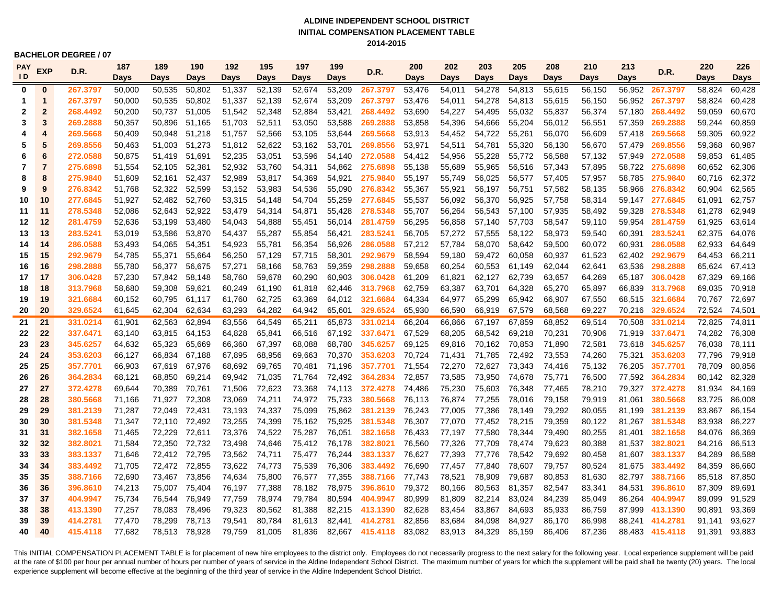### **ALDINE INDEPENDENT SCHOOL DISTRICT INITIAL COMPENSATION PLACEMENT TABLE 2014-2015**

**BACHELOR DEGREE / 07** 

| <b>PAY</b>     | <b>EXP</b><br>D.R. | 187                  | 189              | 190              | 192              | 195              | 197              | 199              | D.R.             | 200                  | 202              | 203              | 205              | 208              | 210              | 213              | D.R.   | 220                         | 226              |                  |
|----------------|--------------------|----------------------|------------------|------------------|------------------|------------------|------------------|------------------|------------------|----------------------|------------------|------------------|------------------|------------------|------------------|------------------|--------|-----------------------------|------------------|------------------|
| $\overline{D}$ |                    |                      | Days             | Days             | Days             | Days             | Days             | Days             | Days             |                      | Days             | <b>Days</b>      | <b>Days</b>      | <b>Days</b>      | <b>Days</b>      | Days             | Days   |                             | <b>Days</b>      | Days             |
| $\mathbf 0$    | $\bf{0}$           | 267.3797             | 50,000           | 50,535           | 50,802           | 51,337           | 52,139           | 52,674           | 53,209           | 267.3797             | 53,476           | 54,011           | 54,278           | 54,813           | 55,615           | 56,150           |        | 56,952 267.3797             | 58,824           | 60,428           |
| -1             | 1                  | 267.3797             | 50,000           | 50,535           | 50,802           | 51,337           | 52,139           | 52,674           | 53,209           | 267.3797             | 53,476           | 54,011           | 54,278           | 54,813           | 55,615           | 56,150           | 56,952 | 267.3797                    | 58,824           | 60,428           |
| 2              | $\overline{2}$     | 268.4492             | 50,200           | 50,737           | 51,005           | 51,542           | 52,348           | 52,884           | 53,421           | 268.4492             | 53,690           | 54,227           | 54,495           | 55,032           | 55,837           | 56,374           | 57,180 | 268.4492                    | 59,059           | 60,670           |
| 3              | 3                  | 269.2888             | 50,357           | 50,896           | 51,165           | 51,703           | 52,511           | 53,050           | 53,588           | 269.2888             | 53,858           | 54,396           | 54,666           | 55,204           | 56,012           | 56,551           | 57,359 | 269.2888                    | 59,244           | 60,859           |
| 4              | 4                  | 269.5668             | 50,409           | 50,948           | 51,218           | 51.757           | 52,566           | 53,105           | 53,644           | 269.5668             | 53,913           | 54,452           | 54,722           | 55,261           | 56,070           | 56,609           |        | 57.418 269.5668             | 59,305           | 60,922           |
| 5              | 5                  | 269.8556             | 50.463           | 51,003           | 51,273           | 51,812           | 52,622           | 53,162           | 53,701           | 269.8556             | 53,971           | 54,511           | 54,781           | 55,320           | 56,130           | 56,670           |        | 57,479 269.8556             | 59,368           | 60,987           |
| 6              | 6                  | 272.0588             | 50,875           | 51,419           | 51,691           | 52,235           | 53,051           | 53,596           | 54,140           | 272.0588             | 54,412           | 54,956           | 55,228           | 55,772           | 56,588           | 57,132           |        | 57,949 272.0588             | 59,853           | 61,485           |
| 7              | 7                  | 275.6898             | 51,554           | 52,105           | 52,381           | 52,932           | 53,760           | 54,311           | 54,862           | 275.6898             | 55,138           | 55,689           | 55,965           | 56,516           | 57,343           | 57,895           |        | 58,722 275.6898             | 60,652           | 62,306           |
| 8              | 8                  | 275.9840             | 51,609           | 52,161           | 52,437           | 52,989           | 53,817           | 54,369           | 54,921           | 275.9840             | 55,197           | 55,749           | 56,025           | 56,577           | 57,405           | 57,957           |        | 58,785 275.9840             | 60,716           | 62,372           |
| 9              | 9                  | 276.8342             | 51,768           | 52,322           | 52,599           | 53,152           | 53,983           | 54,536           | 55,090           | 276.8342             | 55,367           | 55,921           | 56,197           | 56,751           | 57,582           | 58,135           |        | 58,966 276.8342             | 60,904           | 62,565           |
| 10             | 10                 | 277.6845             | 51,927           | 52,482           | 52,760           | 53,315           | 54,148           | 54,704           | 55,259           | 277.6845             | 55,537           | 56,092           | 56,370           | 56,925           | 57,758           | 58,314           |        | 59,147 277.6845             | 61,091           | 62,757           |
| 11             | 11                 | 278.5348             | 52,086           | 52,643           | 52,922           | 53,479           | 54,314           | 54,871           | 55,428           | 278.5348             | 55,707           | 56,264           | 56,543           | 57,100           | 57,935           | 58,492           |        | 59,328 278.5348             | 61,278           | 62,949           |
| 12             | 12                 | 281.4759             | 52,636           | 53,199           | 53,480           | 54,043           | 54,888           | 55,451           | 56,014           | 281.4759             | 56,295           | 56,858           | 57,140           | 57,703           | 58,547           | 59,110           |        | 59,954 281.4759             | 61,925           | 63,614           |
| 13             | 13                 | 283.5241             | 53,019           | 53,586           | 53,870           | 54,437           | 55,287           | 55,854           | 56,421           | 283.5241             | 56,705           | 57,272           | 57,555           | 58,122           | 58,973           | 59,540           | 60,391 | 283.5241                    | 62,375           | 64,076           |
| 14             | 14                 | 286.0588             | 53,493           | 54,065           | 54,351           | 54,923           | 55,781           | 56,354           | 56,926           | 286.0588             | 57,212           | 57,784           | 58,070           | 58,642           | 59,500           | 60,072           | 60,931 | 286.0588                    | 62,933           | 64,649           |
| 15             | 15                 | 292.9679             | 54,785           | 55,371           | 55,664           | 56,250           | 57,129           | 57,715           | 58,301           | 292.9679             | 58,594           | 59,180           | 59,472           | 60,058           | 60,937           | 61,523           |        | 62,402 292.9679             | 64,453           | 66,211           |
| 16             | 16                 | 298.2888             | 55,780           | 56,377           | 56,675           | 57,271           | 58,166           | 58,763           | 59,359           | 298.2888             | 59,658           | 60,254           | 60,553           | 61,149           | 62,044           | 62,641           |        | 63,536 298.2888             | 65,624           | 67,413           |
| 17             | 17                 | 306.0428             | 57,230           | 57,842           | 58,148           | 58,760           | 59,678           | 60,290           | 60,903           | 306.0428             | 61,209           | 61,821           | 62,127           | 62,739           | 63,657           | 64,269           |        | 65,187 306.0428             | 67,329           | 69,166           |
| 18             | 18                 | 313.7968             | 58,680           | 59,308           | 59,621           | 60,249           | 61.190           | 61,818           | 62,446           | 313.7968             | 62,759           | 63,387           | 63,701           | 64,328           | 65,270           | 65,897           |        | 66,839 313.7968             | 69,035           | 70,918           |
| 19             | 19                 | 321.6684             | 60,152           | 60,795           | 61,117           | 61,760           | 62,725           | 63,369           | 64,012           | 321.6684             | 64,334           | 64,977           | 65,299           | 65,942           | 66,907           | 67,550           |        | 68,515 321.6684             | 70,767           | 72,697           |
| 20             | 20                 | 329.6524             | 61,645           | 62,304           | 62,634           | 63,293           | 64,282           | 64,942           | 65,601           | 329.6524             | 65,930           | 66,590           | 66,919           | 67,579           | 68,568           | 69,227           |        | 70,216 329.6524             | 72,524           | 74,501           |
| 21             | 21                 | 331.0214             | 61,901           | 62,563           | 62,894           | 63,556           | 64,549           | 65,211           | 65,873           | 331.0214             | 66,204           | 66,866           | 67,197           | 67,859           | 68,852           | 69,514           | 70,508 | 331.0214                    | 72,825           | 74,811           |
| 22             | 22                 | 337.6471             | 63,140           | 63,815           | 64,153           | 64,828           | 65,841           | 66,516           | 67,192           | 337.6471             | 67,529           | 68,205           | 68,542           | 69,218           | 70,231           | 70,906           |        | 71,919 337.6471             | 74,282           | 76,308           |
| 23             | 23                 | 345.6257             | 64,632           | 65,323           | 65,669           | 66,360           | 67,397           | 68,088           | 68,780           | 345.6257             | 69,125           | 69,816           | 70,162           | 70,853           | 71,890           | 72,581           |        | 73,618 345.6257             | 76,038           | 78,111           |
| 24             | 24                 | 353.6203             | 66,127           | 66,834           | 67,188           | 67,895           | 68,956           | 69,663           | 70,370           | 353.6203             | 70,724           | 71,431           | 71,785           | 72,492           | 73,553           | 74,260           |        | 75,321 353.6203             | 77,796           | 79,918           |
| 25             | 25<br>26           | 357.7701             | 66,903           | 67,619           | 67,976           | 68,692           | 69,765           | 70,481           | 71,196           | 357.7701             | 71,554           | 72,270           | 72,627           | 73,343           | 74,416           | 75,132           |        | 76,205 357.7701             | 78,709           | 80,856           |
| 26             | 27                 | 364.2834             | 68,121           | 68,850           | 69,214           | 69,942           | 71.035           | 71.764           | 72,492           | 364.2834             | 72,857           | 73,585           | 73,950           | 74.678           | 75,771           | 76,500           |        | 77,592 364.2834             | 80,142           | 82,328           |
| 27             | 28                 | 372.4278             | 69,644           | 70,389           | 70,761           | 71,506           | 72,623           | 73,368           | 74,113<br>75,733 | 372.4278             | 74,486           | 75,230           | 75,603           | 76,348           | 77,465           | 78,210           |        | 79,327 372.4278             | 81,934           | 84,169           |
| 28<br>29       | 29                 | 380.5668<br>381.2139 | 71,166<br>71,287 | 71,927<br>72,049 | 72,308<br>72,431 | 73,069<br>73,193 | 74,211<br>74,337 | 74,972<br>75,099 | 75,862           | 380.5668<br>381.2139 | 76,113<br>76,243 | 76,874<br>77,005 | 77,255<br>77,386 | 78,016<br>78,149 | 79,158<br>79,292 | 79,919<br>80,055 | 81,061 | 380.5668<br>81,199 381.2139 | 83,725<br>83,867 | 86,008<br>86,154 |
| 30             | 30                 | 381.5348             | 71,347           | 72,110           | 72,492           | 73,255           | 74,399           | 75,162           | 75,925           | 381.5348             | 76,307           | 77,070           | 77,452           | 78,215           | 79,359           | 80,122           |        | 81,267 381.5348             | 83,938           | 86,227           |
| 31             | 31                 | 382.1658             | 71,465           | 72,229           | 72,611           | 73,376           | 74,522           | 75,287           | 76,051           | 382.1658             | 76,433           | 77,197           | 77,580           | 78,344           | 79,490           | 80,255           |        | 81,401 382.1658             | 84,076           | 86,369           |
| 32             | 32                 | 382.8021             | 71,584           | 72.350           | 72.732           | 73.498           | 74.646           | 75,412           | 76,178           | 382.8021             | 76.560           | 77,326           | 77,709           | 78.474           | 79.623           | 80,388           |        | 81.537 382.8021             | 84,216           | 86,513           |
| 33             | 33                 | 383.1337             | 71.646           |                  | 72,412 72,795    | 73,562           | 74.711           | 75,477           | 76,244           | 383.1337             | 76,627           | 77,393           | 77,776           | 78.542           | 79.692           | 80,458           |        | 81,607 383.1337             | 84,289           | 86,588           |
| 34             | 34                 | 383.4492             | 71,705           |                  | 72,472 72,855    | 73,622           | 74,773           | 75,539           | 76,306           | 383.4492             | 76,690           | 77,457           | 77,840           | 78,607           | 79,757           | 80,524           |        | 81,675 383.4492             | 84,359           | 86,660           |
| 35             | 35                 | 388.7166             | 72,690           | 73,467           | 73,856           | 74,634           | 75,800           | 76,577           | 77,355           | 388.7166             | 77,743           | 78,521           | 78,909           | 79,687           | 80,853           | 81,630           |        | 82,797 388.7166             | 85,518           | 87,850           |
| 36             | 36                 | 396.8610             | 74,213           | 75,007           | 75,404           | 76,197           | 77,388           | 78,182           | 78,975           | 396.8610             | 79,372           | 80,166           | 80,563           | 81,357           | 82,547           | 83,341           |        | 84,531 396.8610             | 87,309           | 89,691           |
| 37             | 37                 | 404.9947             | 75,734           | 76,544           | 76,949           | 77,759           | 78,974           | 79,784           | 80,594           | 404.9947             | 80,999           | 81,809           | 82,214           | 83,024           | 84,239           | 85,049           |        | 86,264 404.9947             | 89,099           | 91,529           |
| 38             | 38                 | 413.1390             | 77,257           | 78,083           | 78,496           | 79,323           | 80,562           | 81,388           | 82,215           | 413.1390             | 82,628           | 83,454           | 83,867           | 84,693           | 85,933           | 86,759           | 87,999 | 413.1390                    | 90,891           | 93,369           |
| 39             | 39                 | 414.2781             | 77.470           | 78,299           | 78.713           | 79.541           | 80.784           | 81,613           | 82,441           | 414.2781             | 82,856           | 83,684           | 84.098           | 84,927           | 86,170           | 86,998           | 88.241 | 414.2781                    | 91.141           | 93,627           |
| 40             | 40                 | 415.4118             | 77.682           | 78.513           | 78.928           | 79.759           | 81.005           | 81.836           | 82.667           | 415.4118             | 83,082           | 83,913           | 84,329           | 85.159           | 86.406           | 87.236           |        | 88.483 415.4118             | 91.391           | 93.883           |
|                |                    |                      |                  |                  |                  |                  |                  |                  |                  |                      |                  |                  |                  |                  |                  |                  |        |                             |                  |                  |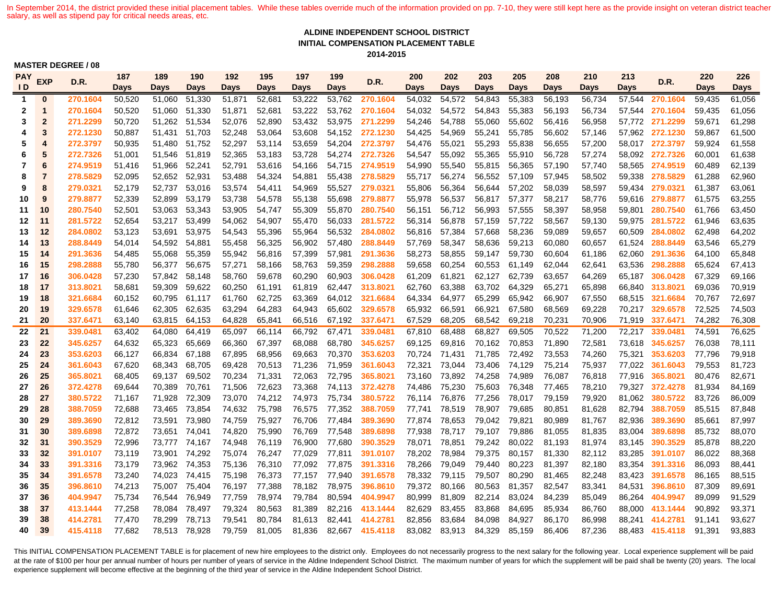In September 2014, the district provided these initial placement tables. While these tables override much of the information provided on pp. 7-10, they were still kept here as the provide insight on veteran district teache salary, as well as stipend pay for critical needs areas, etc.

### **ALDINE INDEPENDENT SCHOOL DISTRICT INITIAL COMPENSATION PLACEMENT TABLE 2014-2015**

#### **MASTER DEGREE / 08**

| PAY            | <b>EXP</b><br>D.R.      | 187      | 189    | 190           | 192           | 195         | 197         | 199    | D.R.   | 200             | 202    | 203         | 205           | 208         | 210    | 213    | D.R.   | 220             | 226    |        |
|----------------|-------------------------|----------|--------|---------------|---------------|-------------|-------------|--------|--------|-----------------|--------|-------------|---------------|-------------|--------|--------|--------|-----------------|--------|--------|
| $\overline{D}$ |                         |          | Days   | Days          | Days          | <b>Days</b> | <b>Days</b> | Days   | Days   |                 | Days   | <b>Days</b> | Days          | <b>Days</b> | Days   | Days   | Days   |                 | Days   | Days   |
| $\mathbf 1$    | $\bf{0}$                | 270.1604 | 50,520 | 51,060        | 51,330        | 51,871      | 52,681      | 53,222 | 53,762 | 270.1604        | 54,032 | 54,572      | 54,843        | 55,383      | 56,193 | 56,734 |        | 57,544 270.1604 | 59,435 | 61,056 |
| $\mathbf{2}$   | $\mathbf{1}$            | 270.1604 | 50,520 |               | 51,060 51,330 | 51,871      | 52,681      | 53,222 | 53,762 | 270.1604        | 54,032 | 54,572      | 54,843        | 55,383      | 56,193 | 56,734 |        | 57,544 270.1604 | 59,435 | 61,056 |
| 3              | $\overline{2}$          | 271.2299 | 50,720 |               | 51,262 51,534 | 52,076      | 52,890      | 53,432 | 53,975 | 271.2299        | 54,246 | 54,788      | 55,060        | 55,602      | 56,416 | 56,958 |        | 57,772 271.2299 | 59,671 | 61,298 |
| 4              | $\overline{\mathbf{3}}$ | 272.1230 | 50,887 |               | 51,431 51,703 | 52,248      | 53,064      | 53,608 |        | 54,152 272.1230 | 54,425 | 54,969      | 55,241        | 55,785      | 56,602 | 57,146 |        | 57,962 272.1230 | 59,867 | 61,500 |
| 5              | $\overline{4}$          | 272.3797 | 50,935 |               | 51,480 51,752 | 52,297      | 53,114      | 53,659 | 54,204 | 272.3797        | 54,476 | 55,021      | 55,293        | 55,838      | 56,655 | 57,200 |        | 58,017 272.3797 | 59,924 | 61,558 |
| 6              | 5                       | 272.7326 | 51,001 | 51,546        | 51,819        | 52,365      | 53,183      | 53,728 | 54,274 | 272.7326        | 54,547 | 55,092      | 55,365        | 55,910      | 56,728 | 57,274 |        | 58.092 272.7326 | 60,001 | 61,638 |
| 7              | 6                       | 274.9519 | 51,416 | 51,966        | 52,241        | 52,791      | 53,616      | 54,166 | 54,715 | 274.9519        | 54,990 | 55,540      | 55,815        | 56,365      | 57,190 | 57,740 |        | 58,565 274.9519 | 60,489 | 62,139 |
| 8              | $\overline{7}$          | 278.5829 | 52,095 | 52,652 52,931 |               | 53,488      | 54,324      | 54,881 | 55,438 | 278.5829        | 55,717 | 56,274      | 56,552        | 57,109      | 57,945 | 58,502 |        | 59,338 278.5829 | 61,288 | 62,960 |
| 9              | 8                       | 279.0321 | 52,179 |               | 52,737 53,016 | 53,574      | 54,411      | 54,969 | 55,527 | 279.0321        | 55,806 | 56,364      | 56,644        | 57,202      | 58,039 | 58,597 |        | 59,434 279.0321 | 61,387 | 63,061 |
| 10             | 9                       | 279.8877 | 52,339 | 52,899        | 53,179        | 53,738      | 54,578      | 55,138 | 55,698 | 279.8877        | 55,978 | 56,537      | 56,817        | 57,377      | 58,217 | 58,776 |        | 59,616 279.8877 | 61,575 | 63,255 |
| 11             | 10                      | 280.7540 | 52,501 | 53,063        | 53,343        | 53,905      | 54,747      | 55,309 | 55,870 | 280.7540        | 56,151 | 56,712      | 56,993        | 57,555      | 58,397 | 58,958 | 59.801 | 280.7540        | 61.766 | 63,450 |
| 12             | 11                      | 281.5722 | 52,654 |               | 53,217 53,499 | 54,062      | 54,907      | 55,470 | 56,033 | 281.5722        | 56,314 | 56,878      | 57,159        | 57,722      | 58,567 | 59,130 | 59,975 | 281.5722        | 61,946 | 63,635 |
| 13             | 12                      | 284.0802 | 53,123 |               | 53,691 53,975 | 54,543      | 55,396      | 55,964 | 56,532 | 284.0802        | 56,816 | 57,384      | 57,668        | 58,236      | 59,089 | 59,657 | 60,509 | 284.0802        | 62,498 | 64,202 |
| 14             | 13                      | 288.8449 | 54,014 | 54,592        | 54,881        | 55,458      | 56,325      | 56,902 | 57,480 | 288.8449        | 57,769 | 58,347      | 58,636        | 59,213      | 60,080 | 60,657 |        | 61,524 288.8449 | 63,546 | 65,279 |
| 15             | 14                      | 291.3636 | 54,485 | 55,068        | 55,359        | 55,942      | 56,816      | 57,399 | 57,981 | 291.3636        | 58,273 | 58,855      | 59,147        | 59,730      | 60,604 | 61,186 |        | 62,060 291.3636 | 64,100 | 65,848 |
| 16             | 15                      | 298.2888 | 55,780 |               | 56,377 56,675 | 57,271      | 58,166      | 58,763 | 59,359 | 298.2888        | 59,658 | 60,254      | 60,553        | 61,149      | 62,044 | 62,641 |        | 63,536 298.2888 | 65,624 | 67,413 |
| 17             | 16                      | 306.0428 | 57,230 |               | 57,842 58,148 | 58,760      | 59,678      | 60,290 | 60,903 | 306.0428        | 61,209 | 61,821      | 62,127        | 62,739      | 63,657 | 64,269 |        | 65,187 306.0428 | 67,329 | 69,166 |
| 18             | 17                      | 313.8021 | 58,681 |               | 59,309 59,622 | 60,250      | 61,191      | 61,819 |        | 62,447 313.8021 | 62,760 | 63,388      | 63,702        | 64,329      | 65,271 | 65,898 |        | 66.840 313.8021 | 69,036 | 70,919 |
| 19             | 18                      | 321.6684 | 60,152 |               | 60,795 61,117 | 61,760      | 62,725      | 63,369 | 64,012 | 321.6684        | 64,334 | 64,977      | 65,299        | 65,942      | 66,907 | 67,550 |        | 68,515 321.6684 | 70,767 | 72,697 |
| 20             | 19                      | 329.6578 | 61,646 | 62,305        | 62,635        | 63,294      | 64,283      | 64,943 | 65,602 | 329.6578        | 65,932 | 66,591      | 66,921        | 67,580      | 68,569 | 69,228 |        | 70,217 329.6578 | 72,525 | 74,503 |
| 21             | 20                      | 337.6471 | 63,140 |               | 63,815 64,153 | 64,828      | 65,841      | 66,516 | 67,192 | 337.6471        | 67,529 | 68,205      | 68,542        | 69,218      | 70,231 | 70,906 |        | 71,919 337.6471 | 74,282 | 76,308 |
| 22             | 21                      | 339.0481 | 63,402 | 64,080        | 64,419        | 65,097      | 66,114      | 66.792 | 67,471 | 339.0481        | 67,810 | 68.488      | 68.827        | 69.505      | 70.522 | 71,200 |        | 72,217 339.0481 | 74.591 | 76,625 |
| 23             | 22                      | 345.6257 | 64,632 |               | 65,323 65,669 | 66,360      | 67,397      | 68,088 | 68,780 | 345.6257        | 69,125 | 69,816      | 70,162 70,853 |             | 71.890 | 72,581 |        | 73,618 345.6257 | 76,038 | 78,111 |
| 24             | 23                      | 353.6203 | 66,127 |               | 66,834 67,188 | 67,895      | 68,956      | 69,663 | 70,370 | 353.6203        | 70,724 | 71,431      | 71,785 72,492 |             | 73,553 | 74,260 |        | 75,321 353.6203 | 77,796 | 79,918 |
| 25             | 24                      | 361.6043 | 67,620 | 68,343        | 68,705        | 69,428      | 70,513      | 71,236 | 71,959 | 361.6043        | 72,321 | 73,044      | 73,406        | 74,129      | 75,214 | 75,937 |        | 77,022 361.6043 | 79,553 | 81,723 |
| 26             | 25                      | 365.8021 | 68,405 | 69,137        | 69,502        | 70,234      | 71,331      | 72,063 | 72,795 | 365.8021        | 73,160 | 73,892      | 74,258        | 74,989      | 76,087 | 76,818 |        | 77,916 365.8021 | 80,476 | 82,671 |
| 27             | 26                      | 372.4278 | 69,644 | 70,389        | 70,761        | 71,506      | 72,623      | 73,368 | 74,113 | 372.4278        | 74,486 | 75,230      | 75,603        | 76,348      | 77,465 | 78,210 |        | 79,327 372.4278 | 81,934 | 84,169 |
| 28             | 27                      | 380.5722 | 71,167 | 71,928        | 72,309        | 73,070      | 74,212      | 74,973 | 75,734 | 380.5722        | 76,114 | 76,876      | 77,256        | 78,017      | 79,159 | 79,920 |        | 81,062 380.5722 | 83,726 | 86,009 |
| 29             | 28                      | 388.7059 | 72,688 |               | 73,465 73,854 | 74,632      | 75,798      | 76,575 | 77,352 | 388.7059        | 77,741 | 78,519      | 78,907        | 79,685      | 80,851 | 81,628 |        | 82,794 388.7059 | 85,515 | 87,848 |
| 30             | 29                      | 389.3690 | 72,812 | 73.591        | 73.980        | 74,759      | 75,927      | 76,706 | 77,484 | 389,3690        | 77,874 | 78.653      | 79,042        | 79.821      | 80,989 | 81,767 | 82.936 | 389.3690        | 85,661 | 87,997 |
| 31             | 30                      | 389.6898 | 72,872 | 73,651 74,041 |               | 74,820      | 75,990      | 76,769 | 77,548 | 389.6898        | 77,938 | 78,717      | 79,107        | 79,886      | 81,055 | 81,835 |        | 83,004 389.6898 | 85,732 | 88,070 |
| 32             | 31                      | 390.3529 | 72,996 |               | 73,777 74,167 | 74,948      | 76,119      | 76,900 | 77,680 | 390.3529        | 78,071 | 78,851      | 79,242        | 80,022      | 81,193 | 81,974 |        | 83,145 390.3529 | 85,878 | 88,220 |
| 33             | 32                      | 391.0107 | 73,119 |               | 73,901 74,292 | 75,074      | 76,247      | 77,029 | 77,811 | 391.0107        | 78,202 | 78,984      | 79,375        | 80,157      | 81,330 | 82,112 |        | 83,285 391.0107 | 86,022 | 88,368 |
| 34             | 33                      | 391.3316 | 73,179 |               | 73,962 74,353 | 75,136      | 76,310      | 77,092 | 77,875 | 391.3316        | 78,266 | 79,049      | 79,440        | 80,223      | 81,397 | 82,180 |        | 83,354 391.3316 | 86,093 | 88,441 |
| 35             | 34                      | 391.6578 | 73,240 | 74,023        | 74,415        | 75,198      | 76,373      | 77,157 | 77,940 | 391.6578        | 78,332 | 79,115      | 79,507        | 80,290      | 81,465 | 82,248 |        | 83,423 391.6578 | 86,165 | 88,515 |
| 36             | 35                      | 396.8610 | 74,213 |               | 75,007 75,404 | 76,197      | 77,388      | 78,182 | 78,975 | 396.8610        | 79,372 | 80,166      | 80,563        | 81,357      | 82,547 | 83,341 | 84,531 | 396.8610        | 87,309 | 89,691 |
| 37             | 36                      | 404.9947 | 75,734 |               | 76,544 76,949 | 77,759      | 78,974      | 79,784 | 80,594 | 404.9947        | 80,999 | 81,809      | 82,214        | 83,024      | 84,239 | 85,049 |        | 86,264 404.9947 | 89,099 | 91,529 |
| 38             | 37                      | 413.1444 | 77,258 | 78,084        | 78,497        | 79,324      | 80,563      | 81,389 | 82,216 | 413.1444        | 82,629 | 83,455      | 83,868        | 84,695      | 85,934 | 86,760 |        | 88,000 413.1444 | 90,892 | 93,371 |
| 39             | 38                      | 414.2781 | 77,470 | 78,299        | 78,713        | 79,541      | 80,784      | 81,613 | 82,441 | 414.2781        | 82,856 | 83,684      | 84,098        | 84,927      | 86,170 | 86,998 | 88,241 | 414.2781        | 91,141 | 93,627 |
| 40             | 39                      | 415.4118 | 77.682 | 78.513        | 78.928        | 79.759      | 81.005      | 81.836 | 82,667 | 415.4118        | 83,082 | 83,913      | 84,329        | 85.159      | 86.406 | 87,236 |        | 88,483 415.4118 | 91.391 | 93.883 |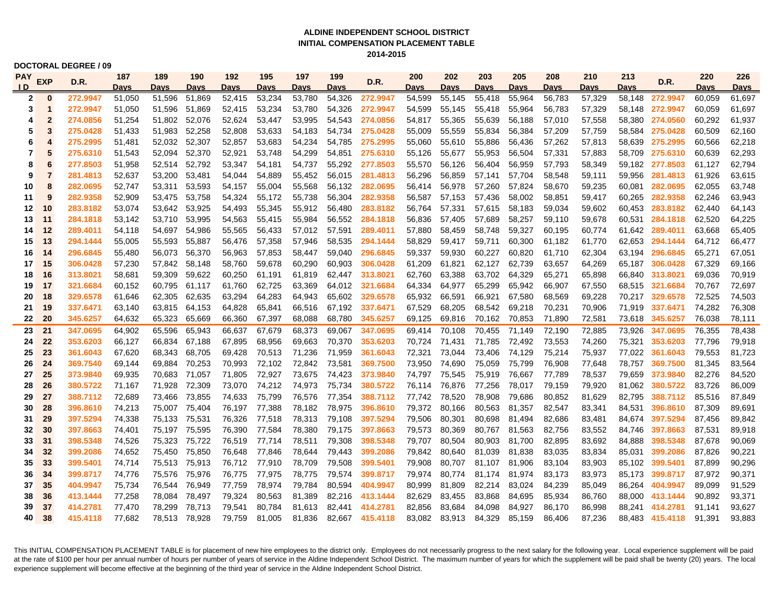### **ALDINE INDEPENDENT SCHOOL DISTRICT INITIAL COMPENSATION PLACEMENT TABLE 2014-2015**

**DOCTORAL DEGREE / 09**

| PAY            | <b>EXP</b>     | D.R.     | 187         | 189           | 190         | 192         | 195    | 197         | 199         | D.R.            | 200    | 202         | 203           | 205         | 208         | 210         | 213         | D.R.            | 220         | 226         |
|----------------|----------------|----------|-------------|---------------|-------------|-------------|--------|-------------|-------------|-----------------|--------|-------------|---------------|-------------|-------------|-------------|-------------|-----------------|-------------|-------------|
| $\overline{D}$ |                |          | <b>Davs</b> | Davs          | <b>Davs</b> | <u>Davs</u> | Davs   | <b>Davs</b> | <b>Davs</b> |                 | Davs   | <b>Davs</b> | Davs          | <b>Davs</b> | <b>Davs</b> | <b>Davs</b> | <b>Davs</b> |                 | <b>Davs</b> | <b>Davs</b> |
| 2              | $\bf{0}$       | 272.9947 | 51,050      | 51,596        | 51,869      | 52,415      | 53,234 | 53,780      | 54,326      | 272.9947        | 54,599 | 55,145      | 55,418        | 55,964      | 56,783      | 57,329      | 58.148      | 272.9947        | 60,059      | 61,697      |
| 3              | 1              | 272.9947 | 51,050      | 51,596        | 51,869      | 52,415      | 53,234 | 53,780      | 54,326      | 272.9947        | 54,599 | 55,145      | 55,418        | 55,964      | 56,783      | 57,329      | 58,148      | 272.9947        | 60,059      | 61,697      |
| 4              | $\overline{2}$ | 274.0856 | 51,254      | 51,802        | 52,076      | 52,624      | 53,447 | 53,995      | 54,543      | 274.0856        | 54,817 | 55,365      | 55,639        | 56,188      | 57,010      | 57,558      | 58,380      | 274.0560        | 60,292      | 61,937      |
| 5              | 3              | 275.0428 | 51,433      | 51,983        | 52,258      | 52,808      | 53,633 | 54,183      | 54,734      | 275.0428        | 55,009 | 55,559      | 55,834        | 56.384      | 57,209      | 57,759      |             | 58,584 275.0428 | 60.509      | 62,160      |
| 6              | 4              | 275.2995 | 51,481      | 52,032        | 52,307      | 52,857      | 53,683 | 54,234      | 54,785      | 275.2995        | 55,060 | 55,610      | 55,886        | 56,436      | 57,262      | 57,813      | 58,639      | 275.2995        | 60,566      | 62,218      |
| 7              | 5              | 275.6310 | 51,543      | 52,094        | 52,370      | 52,921      | 53,748 | 54,299      | 54,851      | 275.6310        | 55,126 | 55,677      | 55,953        | 56,504      | 57,331      | 57,883      |             | 58,709 275.6310 | 60,639      | 62,293      |
| 8              | 6              | 277.8503 | 51,958      | 52,514        | 52.792      | 53,347      | 54,181 | 54,737      | 55,292      | 277.8503        | 55,570 | 56,126      | 56,404        | 56.959      | 57,793      | 58,349      |             | 59.182 277.8503 | 61.127      | 62,794      |
| 9              | $\overline{7}$ | 281.4813 | 52,637      | 53,200        | 53,481      | 54,044      | 54,889 | 55,452      | 56,015      | 281.4813        | 56,296 | 56,859      | 57,141        | 57,704      | 58,548      | 59,111      | 59,956      | 281.4813        | 61.926      | 63,615      |
| 10             | 8              | 282.0695 | 52,747      | 53,311        | 53,593      | 54,157      | 55,004 | 55,568      | 56,132      | 282.0695        | 56,414 | 56,978      | 57,260        | 57,824      | 58,670      | 59,235      | 60,081      | 282.0695        | 62,055      | 63,748      |
| 11             | 9              | 282.9358 | 52,909      | 53,475        | 53,758      | 54,324      | 55,172 | 55,738      | 56,304      | 282.9358        | 56,587 | 57,153      | 57,436        | 58,002      | 58,851      | 59,417      | 60.265      | 282.9358        | 62.246      | 63,943      |
| 12             | 10             | 283.8182 | 53,074      | 53,642        | 53,925      | 54,493      | 55,345 | 55,912      | 56,480      | 283,8182        | 56,764 | 57,331      | 57,615        | 58.183      | 59,034      | 59,602      | 60.453      | 283.8182        | 62.440      | 64,143      |
| 13             | 11             | 284.1818 | 53,142      | 53,710        | 53,995      | 54,563      | 55,415 | 55,984      | 56,552      | 284.1818        | 56,836 | 57,405      | 57,689        | 58,257      | 59,110      | 59,678      |             | 60,531 284.1818 | 62,520      | 64,225      |
| 14             | 12             | 289.4011 | 54,118      | 54,697        | 54,986      | 55,565      | 56,433 | 57,012      | 57,591      | 289.4011        | 57,880 | 58,459      | 58,748        | 59,327      | 60,195      | 60,774      |             | 61,642 289.4011 | 63,668      | 65,405      |
| 15             | 13             | 294.1444 | 55,005      | 55,593        | 55,887      | 56,476      | 57,358 | 57,946      | 58,535      | 294.1444        | 58,829 | 59,417      | 59,711        | 60,300      | 61,182      | 61,770      |             | 62.653 294.1444 | 64,712      | 66,477      |
| 16             | 14             | 296.6845 | 55,480      | 56,073        | 56,370      | 56,963      | 57,853 | 58,447      | 59,040      | 296.6845        | 59,337 | 59,930      | 60,227        | 60,820      | 61,710      | 62,304      |             | 63,194 296.6845 | 65,271      | 67,051      |
| 17             | 15             | 306.0428 | 57,230      | 57,842 58,148 |             | 58,760      | 59,678 | 60,290      | 60,903      | 306.0428        | 61,209 | 61,821      | 62,127        | 62,739      | 63,657      | 64,269      |             | 65,187 306.0428 | 67,329      | 69,166      |
| 18             | 16             | 313.8021 | 58,681      | 59,309        | 59,622      | 60,250      | 61,191 | 61,819      |             | 62,447 313.8021 | 62,760 | 63,388      | 63,702        | 64,329      | 65,271      | 65,898      |             | 66.840 313.8021 | 69,036      | 70,919      |
| 19             | 17             | 321.6684 | 60,152      | 60,795 61,117 |             | 61,760      | 62,725 | 63,369      | 64,012      | 321.6684        | 64,334 | 64,977      | 65,299        | 65,942      | 66,907      | 67,550      |             | 68,515 321.6684 | 70,767      | 72,697      |
| 20             | 18             | 329.6578 | 61,646      | 62,305        | 62,635      | 63,294      | 64,283 | 64,943      | 65,602      | 329.6578        | 65,932 | 66,591      | 66,921        | 67,580      | 68,569      | 69,228      |             | 70,217 329.6578 | 72,525      | 74,503      |
| 21             | 19             | 337.6471 | 63,140      | 63,815        | 64,153      | 64,828      | 65,841 | 66,516      | 67,192      | 337.6471        | 67,529 | 68,205      | 68,542        | 69,218      | 70,231      | 70,906      | 71,919      | 337.6471        | 74,282      | 76,308      |
| 22             | 20             | 345.6257 | 64,632      | 65,323        | 65,669      | 66,360      | 67,397 | 68,088      | 68,780      | 345.6257        | 69,125 | 69,816      | 70,162        | 70,853      | 71,890      | 72,581      | 73,618      | 345.6257        | 76,038      | 78,111      |
| 23             | 21             | 347.0695 | 64,902      | 65,596        | 65,943      | 66,637      | 67,679 | 68,373      | 69,067      | 347.0695        | 69,414 | 70,108      | 70,455        | 71,149      | 72,190      | 72,885      | 73,926      | 347.0695        | 76,355      | 78,438      |
| 24             | 22             | 353.6203 | 66,127      | 66,834 67,188 |             | 67,895      | 68,956 | 69,663      | 70,370      | 353.6203        | 70.724 | 71,431      | 71,785 72,492 |             | 73,553      | 74,260      | 75.321      | 353.6203        | 77.796      | 79,918      |
| 25             | 23             | 361.6043 | 67,620      | 68,343 68,705 |             | 69,428      | 70,513 | 71,236      | 71,959      | 361.6043        | 72,321 | 73,044      | 73,406        | 74,129      | 75,214      | 75,937      |             | 77,022 361.6043 | 79,553      | 81,723      |
| 26             | 24             | 369.7540 | 69,144      | 69,884        | 70,253      | 70,993      | 72,102 | 72,842      | 73,581      | 369.7500        | 73,950 | 74,690      | 75,059        | 75,799      | 76,908      | 77,648      |             | 78,757 369.7500 | 81,345      | 83,564      |
| 27             | 25             | 373.9840 | 69,935      | 70.683 71.057 |             | 71.805      | 72,927 | 73,675      | 74,423      | 373.9840        | 74,797 | 75,545      | 75,919        | 76.667      | 77.789      | 78,537      |             | 79.659 373.9840 | 82,276      | 84,520      |
| 28             | 26             | 380.5722 | 71,167      | 71,928 72,309 |             | 73,070      | 74,212 | 74,973      | 75,734      | 380.5722        | 76,114 | 76,876      | 77,256        | 78,017      | 79,159      | 79,920      | 81,062      | 380.5722        | 83,726      | 86,009      |
| 29             | 27             | 388.7112 | 72,689      | 73,466 73,855 |             | 74,633      | 75,799 | 76,576      | 77,354      | 388.7112        | 77,742 | 78,520      | 78,908        | 79,686      | 80,852      | 81,629      | 82,795      | 388.7112        | 85,516      | 87,849      |
| 30             | 28             | 396.8610 | 74,213      | 75.007 75.404 |             | 76.197      | 77,388 | 78.182      | 78,975      | 396.8610        | 79.372 | 80.166      | 80,563        | 81.357      | 82,547      | 83,341      |             | 84.531 396.8610 | 87.309      | 89,691      |
| 31             | 29             | 397.5294 | 74,338      | 75,133 75,531 |             | 76,326      | 77,518 | 78,313      | 79,108      | 397.5294        | 79,506 | 80,301      | 80,698        | 81,494      | 82,686      | 83,481      |             | 84,674 397.5294 | 87,456      | 89,842      |
| 32             | 30             | 397.8663 | 74,401      | 75,197 75,595 |             | 76,390      | 77,584 | 78,380      | 79,175      | 397.8663        | 79,573 | 80,369      | 80,767        | 81,563      | 82,756      | 83,552      | 84,746      | 397.8663        | 87,531      | 89,918      |
| 33             | 31             | 398.5348 | 74,526      | 75,323        | 75,722      | 76,519      | 77,714 | 78,511      | 79,308      | 398,5348        | 79,707 | 80,504      | 80,903        | 81.700      | 82,895      | 83,692      | 84.888      | 398,5348        | 87.678      | 90,069      |
| 34             | 32             | 399.2086 | 74,652      | 75,450        | 75,850      | 76,648      | 77,846 | 78,644      | 79,443      | 399.2086        | 79,842 | 80,640      | 81,039        | 81,838      | 83,035      | 83,834      |             | 85,031 399.2086 | 87,826      | 90,221      |
| 35             | 33             | 399.5401 | 74,714      | 75,513 75,913 |             | 76,712      | 77,910 | 78,709      | 79,508      | 399.5401        | 79,908 | 80,707      | 81,107        | 81,906      | 83,104      | 83,903      |             | 85,102 399.5401 | 87,899      | 90,296      |
| 36             | 34             | 399.8717 | 74,776      | 75,576        | 75.976      | 76,775      | 77,975 | 78,775      | 79,574      | 399.8717        | 79,974 | 80.774      | 81.174        | 81.974      | 83.173      | 83,973      |             | 85.173 399.8717 | 87,972      | 90,371      |
| 37             | 35             | 404.9947 | 75,734      | 76,544        | 76,949      | 77,759      | 78,974 | 79,784      | 80,594      | 404.9947        | 80,999 | 81,809      | 82,214        | 83,024      | 84,239      | 85,049      |             | 86,264 404.9947 | 89.099      | 91,529      |
| 38             | 36             | 413.1444 | 77,258      | 78,084        | 78,497      | 79,324      | 80,563 | 81,389      | 82,216      | 413.1444        | 82,629 | 83,455      | 83,868        | 84,695      | 85,934      | 86,760      |             | 88,000 413.1444 | 90,892      | 93,371      |
| 39             | 37             | 414.2781 | 77.470      | 78.299        | 78.713      | 79.541      | 80.784 | 81,613      | 82.441      | 414.2781        | 82,856 | 83,684      | 84.098        | 84.927      | 86.170      | 86,998      |             | 88.241 414.2781 | 91.141      | 93,627      |
| 40             | 38             | 415.4118 | 77.682      | 78,513        | 78.928      | 79.759      | 81.005 | 81,836      | 82.667      | 415.4118        | 83,082 | 83,913      | 84,329        | 85.159      | 86.406      | 87.236      |             | 88,483 415.4118 | 91.391      | 93.883      |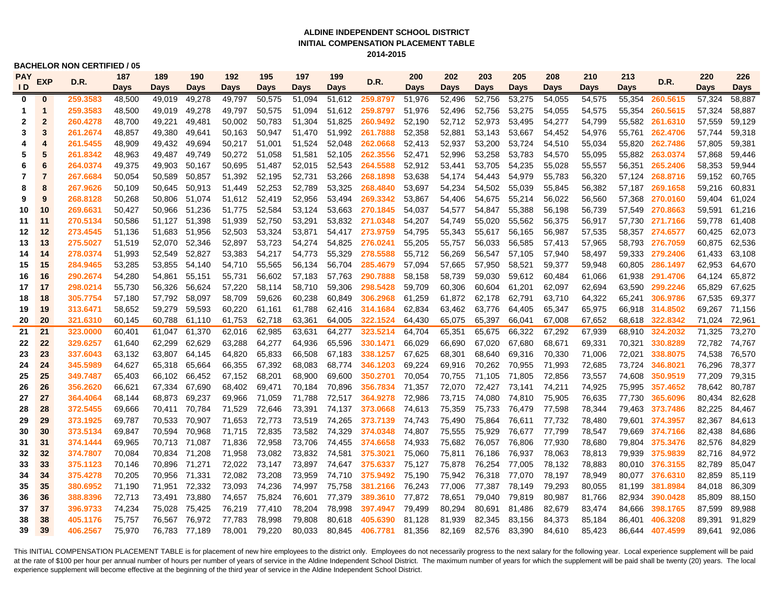### **INITIAL COMPENSATION PLACEMENT TABLE ALDINE INDEPENDENT SCHOOL DISTRICT 2014-2015**

### **BACHELOR NON CERTIFIED / 05**

| <b>PAY</b>              | <b>EXP</b><br>D.R. | 187      | 189    | 190           | 192    | 195    | 197    | 199    | D.R.   | 200             | 202         | 203    | 205    | 208         | 210    | 213    | D.R.   | 220             | 226           |        |
|-------------------------|--------------------|----------|--------|---------------|--------|--------|--------|--------|--------|-----------------|-------------|--------|--------|-------------|--------|--------|--------|-----------------|---------------|--------|
| $\mathsf{I} \mathsf{D}$ |                    |          | Days   | Days          | Days   | Days   | Days   | Days   | Days   |                 | <b>Days</b> | Days   | Days   | <b>Days</b> | Days   | Days   | Days   |                 | <b>Days</b>   | Days   |
| $\bf{0}$                | $\bf{0}$           | 259.3583 | 48,500 | 49,019        | 49,278 | 49,797 | 50,575 | 51,094 | 51,612 | 259.8797        | 51,976      | 52,496 | 52,756 | 53,275      | 54,055 | 54,575 |        | 55,354 260.5615 | 57,324        | 58,887 |
| 1                       | 1                  | 259.3583 | 48,500 | 49,019        | 49,278 | 49,797 | 50,575 | 51,094 | 51,612 | 259.8797        | 51,976      | 52,496 | 52,756 | 53,275      | 54,055 | 54,575 |        | 55,354 260.5615 | 57,324        | 58,887 |
| 2                       | $\overline{2}$     | 260.4278 | 48,700 | 49,221        | 49,481 | 50,002 | 50.783 | 51,304 | 51,825 | 260.9492        | 52,190      | 52,712 | 52,973 | 53,495      | 54,277 | 54,799 | 55,582 | 261.6310        | 57,559        | 59,129 |
| 3                       | 3                  | 261.2674 | 48,857 | 49.380        | 49.641 | 50,163 | 50.947 | 51.470 | 51,992 | 261.7888        | 52,358      | 52,881 | 53,143 | 53,667      | 54,452 | 54,976 |        | 55,761 262.4706 | 57.744        | 59,318 |
| 4                       | 4                  | 261.5455 | 48,909 | 49,432        | 49,694 | 50,217 | 51,001 | 51,524 | 52,048 | 262.0668        | 52,413      | 52,937 | 53,200 | 53,724      | 54,510 | 55,034 |        | 55,820 262.7486 | 57,805        | 59,381 |
| 5                       | 5                  | 261.8342 | 48,963 | 49,487        | 49,749 | 50,272 | 51,058 | 51,581 | 52,105 | 262.3556        | 52,471      | 52,996 | 53,258 | 53,783      | 54,570 | 55,095 |        | 55,882 263.0374 | 57,868        | 59,446 |
| 6                       | 6                  | 264.0374 | 49,375 | 49,903        | 50,167 | 50,695 | 51,487 | 52,015 | 52,543 | 264.5588        | 52,912      | 53,441 | 53,705 | 54,235      | 55,028 | 55,557 |        | 56,351 265.2406 | 58,353        | 59,944 |
| 7                       | 7                  | 267.6684 | 50,054 | 50,589        | 50,857 | 51,392 | 52,195 | 52,731 | 53,266 | 268.1898        | 53,638      | 54,174 | 54,443 | 54,979      | 55,783 | 56,320 |        | 57,124 268.8716 | 59,152        | 60,765 |
| 8                       | 8                  | 267.9626 | 50,109 | 50,645        | 50,913 | 51,449 | 52,253 | 52,789 | 53,325 | 268.4840        | 53,697      | 54,234 | 54,502 | 55,039      | 55,845 | 56,382 |        | 57,187 269.1658 | 59,216        | 60,831 |
| 9                       | 9                  | 268.8128 | 50,268 | 50,806        | 51,074 | 51,612 | 52,419 | 52,956 | 53,494 | 269.3342        | 53,867      | 54,406 | 54,675 | 55,214      | 56,022 | 56,560 |        | 57,368 270.0160 | 59,404        | 61,024 |
| 10                      | 10                 | 269.6631 | 50,427 | 50,966        | 51,236 | 51,775 | 52,584 | 53,124 | 53,663 | 270.1845        | 54,037      | 54,577 | 54,847 | 55,388      | 56,198 | 56,739 |        | 57,549 270.8663 | 59,591        | 61,216 |
| 11                      | 11                 | 270.5134 | 50,586 | 51,127        | 51,398 | 51,939 | 52,750 | 53,291 | 53,832 | 271.0348        | 54,207      | 54,749 | 55,020 | 55,562      | 56,375 | 56,917 |        | 57,730 271.7166 | 59,778        | 61,408 |
| 12                      | 12                 | 273.4545 | 51,136 | 51,683        | 51,956 | 52,503 | 53,324 | 53,871 | 54,417 | 273.9759        | 54,795      | 55,343 | 55,617 | 56,165      | 56,987 | 57,535 |        | 58,357 274.6577 | 60,425        | 62,073 |
| 13                      | 13                 | 275.5027 | 51,519 | 52,070        | 52,346 | 52,897 | 53,723 | 54,274 | 54,825 | 276.0241        | 55,205      | 55,757 | 56,033 | 56,585      | 57,413 | 57,965 |        | 58,793 276.7059 | 60,875        | 62,536 |
| 14                      | 14                 | 278.0374 | 51,993 | 52,549        | 52,827 | 53,383 | 54,217 | 54,773 | 55,329 | 278.5588        | 55,712      | 56,269 | 56,547 | 57,105      | 57,940 | 58,497 |        | 59,333 279.2406 | 61,433        | 63,108 |
| 15                      | 15                 | 284.9465 | 53,285 | 53,855        | 54,140 | 54,710 | 55,565 | 56,134 | 56,704 | 285.4679        | 57,094      | 57,665 | 57,950 | 58,521      | 59,377 | 59,948 | 60,805 | 286.1497        | 62,953        | 64,670 |
| 16                      | 16                 | 290.2674 | 54,280 | 54,861        | 55,151 | 55,731 | 56,602 | 57,183 | 57,763 | 290.7888        | 58,158      | 58,739 | 59,030 | 59,612      | 60,484 | 61,066 | 61,938 | 291.4706        | 64,124        | 65,872 |
| 17                      | 17                 | 298.0214 | 55,730 | 56,326        | 56,624 | 57,220 | 58,114 | 58,710 | 59,306 | 298.5428        | 59,709      | 60,306 | 60,604 | 61,201      | 62,097 | 62,694 | 63,590 | 299.2246        | 65.829        | 67,625 |
| 18                      | 18                 | 305.7754 | 57,180 | 57,792        | 58,097 | 58,709 | 59,626 | 60,238 | 60,849 | 306.2968        | 61,259      | 61,872 | 62,178 | 62,791      | 63,710 | 64,322 |        | 65,241 306.9786 | 67,535        | 69,377 |
| 19                      | 19                 | 313.6471 | 58,652 | 59,279        | 59,593 | 60,220 | 61,161 | 61,788 | 62,416 | 314.1684        | 62,834      | 63,462 | 63,776 | 64,405      | 65,347 | 65,975 |        | 66,918 314.8502 | 69,267 71,156 |        |
| 20                      | 20                 | 321.6310 | 60,145 | 60,788        | 61,110 | 61,753 | 62,718 | 63,361 | 64,005 | 322.1524        | 64,430      | 65,075 | 65,397 | 66,041      | 67,008 | 67,652 |        | 68,618 322.8342 | 71,024 72,961 |        |
| 21                      | 21                 | 323.0000 | 60.401 | 61.047        | 61,370 | 62,016 | 62.985 | 63.631 | 64,277 | 323.5214        | 64.704      | 65,351 | 65,675 | 66.322      | 67,292 | 67,939 |        | 68.910 324.2032 | 71,325        | 73,270 |
| 22                      | 22                 | 329.6257 | 61,640 | 62,299        | 62,629 | 63,288 | 64,277 | 64,936 | 65,596 | 330.1471        | 66,029      | 66,690 | 67,020 | 67,680      | 68,671 | 69,331 | 70,321 | 330.8289        | 72,782 74,767 |        |
| 23                      | 23                 | 337.6043 | 63,132 | 63,807        | 64,145 | 64,820 | 65,833 | 66,508 | 67,183 | 338.1257        | 67,625      | 68,301 | 68,640 | 69,316      | 70,330 | 71,006 |        | 72,021 338.8075 | 74,538        | 76,570 |
| 24                      | 24                 | 345.5989 | 64,627 | 65,318        | 65,664 | 66,355 | 67,392 | 68,083 | 68,774 | 346.1203        | 69,224      | 69,916 | 70,262 | 70,955      | 71,993 | 72,685 |        | 73,724 346.8021 | 76,296        | 78,377 |
| 25                      | 25                 | 349.7487 | 65,403 | 66,102        | 66,452 | 67,152 | 68,201 | 68,900 | 69,600 | 350.2701        | 70,054      | 70,755 | 71,105 | 71,805      | 72,856 | 73,557 | 74,608 | 350.9519        | 77,209        | 79,315 |
| 26                      | 26                 | 356.2620 | 66,621 | 67,334        | 67,690 | 68,402 | 69,471 | 70,184 | 70,896 | 356.7834        | 71,357      | 72,070 | 72,427 | 73,141      | 74,211 | 74,925 | 75,995 | 357.4652        | 78,642        | 80,787 |
| 27                      | 27                 | 364.4064 | 68,144 | 68,873        | 69,237 | 69,966 | 71,059 | 71,788 | 72,517 | 364.9278        | 72,986      | 73,715 | 74,080 | 74,810      | 75,905 | 76,635 | 77,730 | 365.6096        | 80,434        | 82,628 |
| 28                      | 28                 | 372.5455 | 69,666 | 70,411        | 70,784 | 71,529 | 72,646 | 73,391 | 74,137 | 373.0668 74,613 |             | 75,359 | 75,733 | 76,479      | 77,598 | 78,344 |        | 79,463 373.7486 | 82,225        | 84,467 |
| 29                      | 29                 | 373.1925 | 69,787 | 70,533        | 70,907 | 71,653 | 72,773 | 73,519 | 74,265 | 373.7139        | 74,743      | 75,490 | 75,864 | 76,611      | 77,732 | 78,480 |        | 79,601 374.3957 | 82,367        | 84,613 |
| 30                      | 30                 | 373.5134 | 69,847 | 70.594        | 70,968 | 71.715 | 72,835 | 73,582 | 74,329 | 374.0348        | 74,807      | 75,555 | 75,929 | 76.677      | 77.799 | 78,547 |        | 79,669 374.7166 | 82,438        | 84,686 |
| 31                      | 31                 | 374.1444 | 69,965 | 70,713        | 71,087 | 71,836 | 72,958 | 73,706 | 74,455 | 374.6658        | 74,933      | 75,682 | 76,057 | 76.806      | 77,930 | 78,680 |        | 79,804 375.3476 | 82,576        | 84,829 |
| 32                      | 32                 | 374.7807 | 70,084 | 70,834 71,208 |        | 71,958 | 73,082 | 73,832 | 74,581 | 375.3021        | 75,060      | 75,811 | 76,186 | 76,937      | 78,063 | 78,813 |        | 79,939 375.9839 | 82,716        | 84,972 |
| 33                      | 33                 | 375.1123 | 70,146 | 70,896 71,271 |        | 72,022 | 73,147 | 73,897 | 74,647 | 375.6337        | 75,127      | 75,878 | 76,254 | 77,005      | 78,132 | 78,883 |        | 80,010 376.3155 | 82,789        | 85,047 |
| 34                      | 34                 | 375.4278 | 70,205 | 70,956        | 71,331 | 72,082 | 73,208 | 73,959 | 74,710 | 375.9492        | 75,190      | 75,942 | 76,318 | 77,070      | 78,197 | 78,949 |        | 80,077 376.6310 | 82,859        | 85,119 |
| 35                      | 35                 | 380.6952 | 71,190 | 71,951        | 72,332 | 73,093 | 74,236 | 74,997 | 75,758 | 381.2166        | 76,243      | 77,006 | 77,387 | 78.149      | 79,293 | 80,055 |        | 81,199 381.8984 | 84,018        | 86,309 |
| 36                      | 36                 | 388.8396 | 72,713 | 73,491        | 73,880 | 74,657 | 75,824 | 76,601 | 77,379 | 389.3610 77,872 |             | 78,651 | 79,040 | 79,819      | 80,987 | 81,766 |        | 82,934 390.0428 | 85,809        | 88,150 |
| 37                      | 37                 | 396.9733 | 74,234 | 75,028        | 75,425 | 76,219 | 77,410 | 78,204 | 78,998 | 397.4947        | 79,499      | 80,294 | 80,691 | 81,486      | 82,679 | 83,474 |        | 84,666 398.1765 | 87,599        | 89,988 |
| 38                      | 38                 | 405.1176 | 75,757 | 76,567        | 76,972 | 77,783 | 78,998 | 79,808 | 80,618 | 405.6390        | 81,128      | 81,939 | 82,345 | 83,156      | 84,373 | 85,184 | 86,401 | 406.3208        | 89,391        | 91,829 |
| 39                      | 39                 | 406.2567 | 75.970 | 76.783        | 77.189 | 78.001 | 79,220 | 80.033 | 80,845 | 406.7781        | 81,356      | 82,169 | 82,576 | 83,390      | 84.610 | 85,423 |        | 86.644 407.4599 | 89.641        | 92,086 |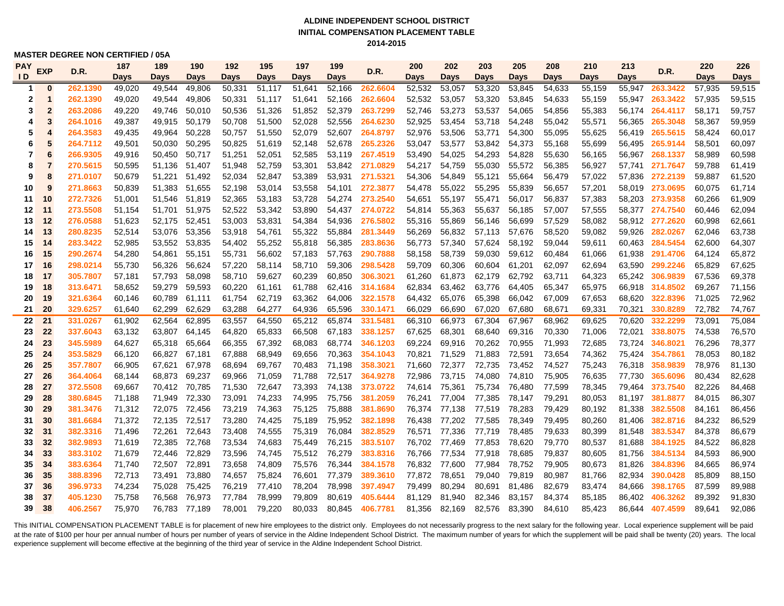### **ALDINE INDEPENDENT SCHOOL DISTRICT INITIAL COMPENSATION PLACEMENT TABLE 2014-2015**

**MASTER DEGREE NON CERTIFIED / 05A**

| <b>PAY</b>     | <b>EXP</b>     | D.R.     | 187    | 189           | 190           | 192    | 195    | 197    | 199    | D.R.            | 200         | 202           | 203    | 205         | 208    | 210         | 213         | D.R.                   | 220         | 226         |
|----------------|----------------|----------|--------|---------------|---------------|--------|--------|--------|--------|-----------------|-------------|---------------|--------|-------------|--------|-------------|-------------|------------------------|-------------|-------------|
| $\overline{D}$ |                |          | Days   | <b>Days</b>   | Days          | Days   | Days   | Days   | Days   |                 | <b>Days</b> | <b>Days</b>   | Days   | <b>Days</b> | Days   | <b>Days</b> | <b>Days</b> |                        | <b>Days</b> | <b>Days</b> |
| -1             | $\bf{0}$       | 262.1390 | 49,020 | 49,544        | 49,806        | 50,331 | 51.117 | 51,641 | 52,166 | 262.6604        | 52,532      | 53,057        | 53,320 | 53,845      | 54,633 | 55,159      |             | 55,947 263.3422        | 57,935      | 59,515      |
| 2              | $\mathbf 1$    | 262.1390 | 49,020 | 49,544        | 49,806        | 50,331 | 51.117 | 51,641 | 52,166 | 262.6604        | 52,532      | 53,057        | 53,320 | 53,845      | 54,633 | 55,159      |             | 55,947 <b>263.3422</b> | 57,935      | 59,515      |
| 3              | $\overline{2}$ | 263.2086 | 49,220 | 49,746        | 50,010        | 50,536 | 51,326 | 51,852 | 52,379 | 263.7299        | 52,746      | 53,273        | 53,537 | 54,065      | 54,856 | 55,383      | 56,174      | 264.4117               | 58,171      | 59,757      |
| 4              | 3              | 264.1016 | 49,387 | 49,915        | 50,179        | 50,708 | 51,500 | 52,028 | 52,556 | 264.6230        | 52,925      | 53,454        | 53,718 | 54,248      | 55,042 | 55,571      | 56,365      | 265.3048               | 58,367      | 59,959      |
| 5              | 4              | 264.3583 | 49,435 | 49,964        | 50,228        | 50,757 | 51,550 | 52,079 | 52,607 | 264.8797        | 52,976      | 53,506        | 53,771 | 54,300      | 55,095 | 55,625      | 56,419      | 265.5615               | 58,424      | 60,017      |
| 6              | 5              | 264.7112 | 49,501 | 50,030        | 50,295        | 50,825 | 51,619 | 52,148 | 52,678 | 265.2326        | 53,047      | 53,577        | 53,842 | 54,373      | 55,168 | 55,699      | 56,495      | 265.9144               | 58,501      | 60,097      |
| 7              | 6              | 266.9305 | 49,916 | 50,450        | 50,717        | 51,251 | 52,051 | 52,585 |        | 53,119 267.4519 | 53,490      | 54,025        | 54,293 | 54,828      | 55,630 | 56,165      |             | 56,967 268.1337        | 58,989      | 60,598      |
| 8              | 7              | 270.5615 | 50,595 | 51,136        | 51,407        | 51,948 | 52,759 | 53,301 | 53,842 | 271.0829        | 54,217      | 54,759        | 55,030 | 55,572      | 56,385 | 56,927      |             | 57,741 271.7647        | 59,788      | 61,419      |
| 9              | 8              | 271.0107 | 50,679 | 51,221        | 51,492        | 52,034 | 52,847 | 53,389 |        | 53,931 271.5321 | 54,306      | 54,849        | 55,121 | 55,664      | 56,479 | 57,022      | 57,836      | 272.2139               | 59,887      | 61,520      |
| 10             | 9              | 271.8663 | 50,839 | 51,383        | 51,655        | 52,198 | 53,014 | 53,558 |        | 54,101 272.3877 | 54,478      | 55,022        | 55,295 | 55,839      | 56,657 | 57,201      | 58,019      | 273.0695               | 60.075      | 61,714      |
| 11             | 10             | 272.7326 | 51,001 | 51,546        | 51,819        | 52,365 | 53,183 | 53,728 |        | 54,274 273.2540 | 54,651      | 55,197        | 55,471 | 56,017      | 56,837 | 57,383      |             | 58,203 273.9358        | 60,266      | 61,909      |
| 12             | 11             | 273.5508 | 51,154 | 51,701        | 51,975        | 52,522 | 53,342 | 53,890 |        | 54,437 274.0722 | 54,814      | 55,363        | 55,637 | 56,185      | 57,007 | 57,555      |             | 58,377 274.7540        | 60,446      | 62,094      |
| 13             | 12             | 276.0588 | 51,623 | 52,175        | 52,451        | 53,003 | 53,831 | 54,384 | 54,936 | 276.5802        | 55,316      | 55,869        | 56,146 | 56,699      | 57,529 | 58,082      |             | 58,912 <b>277.2620</b> | 60,998      | 62,661      |
| 14             | 13             | 280.8235 | 52,514 | 53,076        | 53,356        | 53,918 | 54,761 | 55,322 | 55,884 | 281.3449        | 56,269      | 56,832        | 57,113 | 57,676      | 58,520 | 59,082      | 59,926      | 282.0267               | 62,046      | 63,738      |
| 15             | 14             | 283.3422 | 52,985 | 53,552        | 53,835        | 54,402 | 55,252 | 55,818 | 56,385 | 283.8636        | 56,773      | 57,340        | 57,624 | 58,192      | 59,044 | 59,611      |             | 60,463 284.5454        | 62,600      | 64,307      |
| 16             | 15             | 290.2674 | 54,280 | 54,861        | 55,151        | 55,731 | 56.602 | 57,183 | 57,763 | 290.7888        | 58,158      | 58,739        | 59,030 | 59,612      | 60,484 | 61,066      | 61,938      | 291.4706               | 64,124      | 65,872      |
| 17             | 16             | 298.0214 | 55,730 | 56,326        | 56,624        | 57,220 | 58,114 | 58,710 | 59,306 | 298.5428        | 59,709      | 60,306        | 60,604 | 61,201      | 62,097 | 62,694      | 63,590      | 299.2246               | 65,829      | 67,625      |
| 18             | 17             | 305.7807 | 57,181 | 57,793        | 58,098        | 58,710 | 59,627 | 60,239 | 60,850 | 306.3021        | 61,260      | 61,873        | 62,179 | 62,792      | 63,711 | 64,323      |             | 65,242 306.9839        | 67,536      | 69,378      |
| 19             | 18             | 313.6471 | 58,652 | 59,279        | 59,593        | 60,220 | 61,161 | 61,788 | 62,416 | 314.1684        | 62,834      | 63,462        | 63,776 | 64,405      | 65,347 | 65,975      |             |                        | 69,267      | 71,156      |
| 20             | 19             | 321.6364 | 60,146 | 60,789        | 61,111        | 61,754 | 62,719 | 63,362 | 64,006 | 322.1578        | 64,432      | 65,076        | 65,398 | 66,042      | 67,009 | 67,653      | 68,620      | 322.8396               | 71,025      | 72,962      |
| 21             | 20             | 329.6257 | 61,640 | 62,299        | 62,629        | 63,288 | 64,277 | 64,936 | 65,596 | 330.1471        | 66,029      | 66,690        | 67,020 | 67,680      | 68,671 | 69,331      | 70,321      | 330.8289               | 72,782      | 74,767      |
| 22             | 21             | 331.0267 | 61,902 | 62,564        | 62,895        | 63,557 | 64,550 | 65,212 | 65,874 | 331.5481        | 66,310      | 66,973        | 67.304 | 67,967      | 68,962 | 69,625      | 70,620      | 332.2299               | 73.091      | 75,084      |
| 23             | 22             | 337.6043 | 63,132 | 63,807        | 64,145        | 64,820 | 65,833 | 66,508 | 67,183 | 338.1257        | 67,625      | 68,301        | 68,640 | 69,316      | 70,330 | 71,006      | 72,021      | 338.8075               | 74,538      | 76,570      |
| 24             | 23             | 345.5989 | 64,627 | 65,318        | 65,664        | 66,355 | 67,392 | 68,083 | 68,774 | 346.1203        | 69,224      | 69,916        | 70,262 | 70,955      | 71,993 | 72,685      |             | 73,724 346.8021        | 76,296      | 78,377      |
| 25             | 24             | 353.5829 | 66,120 | 66,827        | 67,181        | 67,888 | 68,949 | 69,656 | 70,363 | 354.1043        | 70,821      | 71,529        | 71,883 | 72,591      | 73,654 | 74,362      |             | 75,424 354.7861        | 78,053      | 80,182      |
| 26             | 25             | 357.7807 | 66,905 | 67,621        | 67,978        | 68,694 | 69,767 | 70,483 | 71,198 | 358.3021        | 71,660      | 72,377        | 72,735 | 73,452      | 74,527 | 75,243      | 76,318      | 358.9839               | 78,976      | 81,130      |
| 27             | 26             | 364.4064 | 68,144 | 68,873        | 69,237        | 69,966 | 71.059 | 71,788 | 72,517 | 364.9278        | 72,986      | 73.715        | 74,080 | 74,810      | 75,905 | 76,635      | 77,730      | 365.6096               | 80,434      | 82,628      |
| 28             | 27             | 372.5508 | 69,667 | 70,412        | 70,785        | 71,530 | 72,647 | 73,393 | 74,138 | 373.0722        | 74,614      | 75,361        | 75,734 | 76,480      | 77,599 | 78,345      |             | 79,464 373.7540        | 82,226      | 84,468      |
| 29             | 28             | 380.6845 | 71,188 | 71,949        | 72,330        | 73,091 | 74,233 | 74,995 | 75,756 | 381.2059        | 76,241      | 77,004        | 77,385 | 78,147      | 79,291 | 80,053      |             | 81,197 381.8877        | 84,015      | 86,307      |
| 30             | 29             | 381.3476 | 71,312 |               | 72,075 72,456 | 73,219 | 74,363 | 75,125 | 75,888 | 381.8690        | 76,374      | 77.138        | 77.519 | 78,283      | 79.429 | 80,192      | 81,338      | 382.5508               | 84,161      | 86,456      |
| 31             | 30             | 381.6684 | 71,372 | 72,135 72,517 |               | 73,280 | 74,425 | 75,189 | 75,952 | 382.1898        | 76,438      | 77,202        | 77,585 | 78,349      | 79,495 | 80,260      | 81,406      | 382.8716               | 84,232      | 86,529      |
| 32             | 31             | 382.3316 | 71,496 | 72,261        | 72,643        | 73,408 | 74,555 | 75,319 | 76,084 | 382.8529        |             | 76,571 77,336 | 77,719 | 78,485      | 79,633 | 80,399      | 81,548      | 383.5347               | 84,378      | 86,679      |
| 33             | 32             | 382.9893 | 71,619 | 72,385        | 72,768        | 73,534 | 74,683 | 75,449 | 76,215 | 383.5107        | 76,702      | 77,469        | 77.853 | 78,620      | 79,770 | 80,537      | 81,688      | 384.1925               | 84.522      | 86,828      |
| 34             | 33             | 383.3102 | 71,679 | 72,446        | 72,829        | 73,596 | 74,745 | 75,512 | 76,279 | 383.8316        | 76,766      | 77,534        | 77,918 | 78,685      | 79,837 | 80,605      | 81,756      | 384.5134               | 84,593      | 86,900      |
| 35             | 34             | 383.6364 | 71,740 | 72,507        | 72,891        | 73,658 | 74,809 | 75,576 | 76,344 | 384.1578        | 76,832      | 77,600        | 77,984 | 78,752      | 79,905 | 80,673      | 81,826      | 384.8396               | 84,665      | 86,974      |
| 36             | 35             | 388.8396 | 72,713 | 73,491        | 73,880        | 74,657 | 75,824 | 76,601 | 77,379 | 389.3610        | 77,872      | 78,651        | 79,040 | 79,819      | 80,987 | 81,766      | 82,934      | 390.0428               | 85,809      | 88,150      |
| 37             | 36             | 396.9733 | 74,234 | 75,028        | 75,425        | 76,219 | 77,410 | 78,204 | 78,998 | 397.4947        | 79,499      | 80,294        | 80,691 | 81,486      | 82,679 | 83,474      | 84,666      | 398.1765               | 87,599      | 89,988      |
| 38             | 37             | 405.1230 | 75,758 | 76,568        | 76,973        | 77,784 | 78,999 | 79,809 | 80,619 | 405.6444        | 81,129      | 81,940        | 82,346 | 83,157      | 84,374 | 85,185      | 86,402      | 406.3262               | 89,392      | 91,830      |
| 39             | 38             | 406.2567 | 75.970 | 76.783        | 77.189        | 78,001 | 79.220 | 80,033 | 80,845 | 406.7781        | 81,356      | 82,169        | 82,576 | 83,390      | 84,610 | 85.423      | 86,644      | 407.4599               | 89,641      | 92,086      |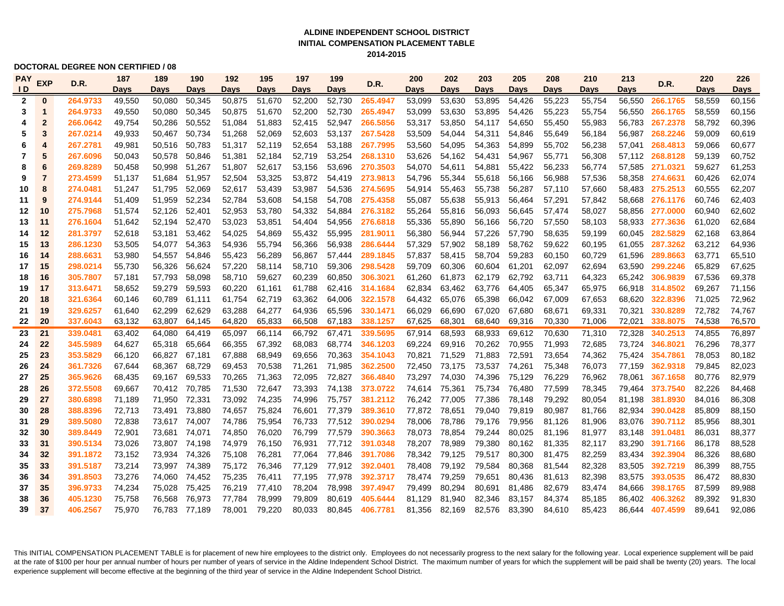### **ALDINE INDEPENDENT SCHOOL DISTRICT 2014-2015 INITIAL COMPENSATION PLACEMENT TABLE**

#### **DOCTORAL DEGREE NON CERTIFIED / 08**

| <b>PAY</b>     | <b>EXP</b><br>D.R. | 187      | 189    | 190    | 192           | 195    | 197    | 199    | D.R.   | 200      | 202         | 203         | 205           | 208         | 210         | 213    | D.R.   | 220             | 226         |        |
|----------------|--------------------|----------|--------|--------|---------------|--------|--------|--------|--------|----------|-------------|-------------|---------------|-------------|-------------|--------|--------|-----------------|-------------|--------|
| ID.            |                    |          | Days   | Days   | Days          | Days   | Days   | Days   | Days   |          | <b>Days</b> | <b>Days</b> | Days          | <b>Days</b> | <b>Days</b> | Days   | Days   |                 | <b>Days</b> | Davs   |
| $\overline{2}$ | $\bf{0}$           | 264.9733 | 49,550 | 50.080 | 50.345        | 50,875 | 51.670 | 52,200 | 52.730 | 265.4947 | 53,099      | 53.630      | 53.895        | 54,426      | 55,223      | 55.754 | 56.550 | 266.1765        | 58,559      | 60,156 |
| 3              | 1                  | 264.9733 | 49,550 | 50.080 | 50,345        | 50,875 | 51.670 | 52,200 | 52,730 | 265.4947 | 53,099      | 53,630      | 53,895        | 54,426      | 55,223      | 55,754 |        | 56,550 266.1765 | 58,559      | 60,156 |
| 4              | $\overline{2}$     | 266.0642 | 49,754 | 50,286 | 50.552        | 51.084 | 51.883 | 52,415 | 52,947 | 266.5856 | 53,317      | 53,850      | 54,117        | 54,650      | 55,450      | 55,983 |        | 56.783 267.2378 | 58,792      | 60,396 |
| 5              | 3                  | 267.0214 | 49,933 | 50,467 | 50.734        | 51,268 | 52,069 | 52,603 | 53,137 | 267.5428 | 53,509      | 54,044      | 54,311        | 54,846      | 55,649      | 56,184 |        | 56.987 268.2246 | 59,009      | 60,619 |
| 6              | 4                  | 267.2781 | 49,981 | 50,516 | 50.783        | 51,317 | 52,119 | 52,654 | 53,188 | 267.7995 | 53,560      | 54,095      | 54,363        | 54,899      | 55,702      | 56,238 | 57,041 | 268.4813        | 59.066      | 60,677 |
| 7              | 5                  | 267.6096 | 50,043 | 50,578 | 50.846        | 51,381 | 52,184 | 52,719 | 53,254 | 268.1310 | 53,626      | 54,162      | 54,431        | 54,967      | 55,771      | 56,308 |        | 57,112 268.8128 | 59,139      | 60,752 |
| 8              | 6                  | 269.8289 | 50.458 | 50,998 | 51.267        | 51,807 | 52,617 | 53,156 | 53,696 | 270.3503 | 54,070      | 54,611      | 54,881        | 55,422      | 56,233      | 56,774 |        | 57,585 271.0321 | 59,627      | 61,253 |
| 9              | $\overline{7}$     | 273.4599 | 51,137 | 51,684 | 51,957        | 52,504 | 53,325 | 53,872 | 54,419 | 273.9813 | 54,796      | 55,344      | 55,618        | 56,166      | 56,988      | 57,536 | 58,358 | 274.6631        | 60,426      | 62,074 |
| 10             | 8                  | 274.0481 | 51,247 | 51,795 | 52,069        | 52,617 | 53,439 | 53,987 | 54,536 | 274.5695 | 54,914      | 55,463      | 55,738        | 56,287      | 57,110      | 57,660 |        | 58,483 275.2513 | 60,555      | 62,207 |
| 11             | 9                  | 274.9144 | 51,409 | 51,959 | 52,234        | 52,784 | 53,608 | 54,158 | 54,708 | 275.4358 | 55,087      | 55,638      | 55,913        | 56,464      | 57,291      | 57,842 |        | 58,668 276.1176 | 60,746      | 62,403 |
| 12             | 10                 | 275.7968 | 51,574 | 52,126 | 52,401        | 52,953 | 53,780 | 54,332 | 54,884 | 276.3182 | 55,264      | 55,816      | 56,093        | 56,645      | 57,474      | 58,027 |        | 58,856 277.0000 | 60,940      | 62,602 |
| 13             | 11                 | 276.1604 | 51,642 | 52,194 | 52,470        | 53,023 | 53,851 | 54,404 | 54,956 | 276.6818 | 55,336      | 55,890      | 56,166        | 56,720      | 57,550      | 58,103 |        | 58,933 277.3636 | 61,020      | 62,684 |
| 14             | 12                 | 281.3797 | 52,618 | 53,181 | 53,462        | 54,025 | 54,869 | 55,432 | 55,995 | 281.9011 | 56,380      | 56,944      | 57,226        | 57,790      | 58,635      | 59,199 | 60,045 | 282.5829        | 62,168      | 63,864 |
| 15             | 13                 | 286.1230 | 53,505 | 54,077 | 54,363        | 54,936 | 55,794 | 56,366 | 56,938 | 286.6444 | 57,329      | 57,902      | 58,189        | 58,762      | 59,622      | 60,195 | 61,055 | 287.3262        | 63,212      | 64,936 |
| 16             | 14                 | 288.6631 | 53,980 |        | 54,557 54,846 | 55,423 | 56,289 | 56,867 | 57,444 | 289.1845 | 57,837      | 58,415      | 58,704        | 59,283      | 60,150      | 60,729 | 61,596 | 289.8663        | 63,771      | 65,510 |
| 17             | 15                 | 298.0214 | 55,730 | 56,326 | 56,624        | 57,220 | 58,114 | 58,710 | 59,306 | 298.5428 | 59,709      | 60,306      | 60,604        | 61,201      | 62,097      | 62,694 | 63,590 | 299.2246        | 65,829      | 67,625 |
| 18             | 16                 | 305.7807 | 57,181 | 57,793 | 58,098        | 58,710 | 59,627 | 60,239 | 60,850 | 306.3021 | 61,260      | 61,873      | 62,179        | 62,792      | 63,711      | 64,323 |        | 65,242 306.9839 | 67,536      | 69,378 |
| 19             | 17                 | 313.6471 | 58,652 | 59,279 | 59,593        | 60,220 | 61,161 | 61,788 | 62,416 | 314.1684 | 62,834      | 63,462      | 63,776        | 64,405      | 65,347      | 65,975 |        | 66,918 314.8502 | 69,267      | 71,156 |
| 20             | 18                 | 321.6364 | 60,146 | 60,789 | 61,111        | 61,754 | 62,719 | 63,362 | 64,006 | 322.1578 | 64,432      | 65,076      | 65,398        | 66,042      | 67,009      | 67,653 | 68.620 | 322.8396        | 71,025      | 72,962 |
| 21             | 19                 | 329.6257 | 61.640 | 62.299 | 62.629        | 63,288 | 64.277 | 64,936 | 65.596 | 330.1471 | 66.029      | 66.690      | 67.020        | 67.680      | 68.671      | 69,331 | 70.321 | 330.8289        | 72.782      | 74.767 |
| 22             | 20                 | 337.6043 | 63,132 | 63,807 | 64,145        | 64,820 | 65,833 | 66,508 | 67,183 | 338.1257 | 67,625      | 68,301      | 68,640        | 69,316      | 70,330      | 71,006 | 72,021 | 338.8075        | 74,538      | 76,570 |
| 23             | 21                 | 339.0481 | 63,402 | 64.080 | 64.419        | 65,097 | 66.114 | 66.792 | 67.471 | 339.5695 | 67,914      | 68.593      | 68.933        | 69.612      | 70.630      | 71,310 | 72.328 | 340.2513        | 74.855      | 76.897 |
| 24             | 22                 | 345.5989 | 64,627 | 65,318 | 65,664        | 66,355 | 67,392 | 68,083 | 68,774 | 346.1203 | 69,224      | 69,916      | 70,262        | 70.955      | 71.993      | 72,685 | 73,724 | 346.8021        | 76,296      | 78,377 |
| 25             | 23                 | 353.5829 | 66.120 | 66,827 | 67.181        | 67,888 | 68.949 | 69,656 | 70,363 | 354.1043 | 70,821      | 71,529      | 71.883        | 72,591      | 73.654      | 74,362 | 75,424 | 354.7861        | 78,053      | 80,182 |
| 26             | 24                 | 361.7326 | 67,644 | 68,367 | 68,729        | 69,453 | 70,538 | 71,261 | 71,985 | 362.2500 | 72,450      | 73,175      | 73,537 74,261 |             | 75,348      | 76,073 |        | 77,159 362.9318 | 79,845      | 82,023 |
| 27             | 25                 | 365.9626 | 68.435 | 69,167 | 69,533        | 70,265 | 71,363 | 72,095 | 72,827 | 366.4840 | 73,297      | 74,030      | 74,396        | 75,129      | 76,229      | 76,962 | 78.061 | 367.1658        | 80,776      | 82,979 |
| 28             | 26                 | 372.5508 | 69.667 | 70,412 | 70,785        | 71,530 | 72,647 | 73,393 | 74,138 | 373.0722 | 74,614      | 75,361      | 75,734        | 76,480      | 77,599      | 78,345 | 79,464 | 373.7540        | 82,226      | 84,468 |
| 29             | 27                 | 380.6898 | 71,189 | 71,950 | 72,331        | 73,092 | 74,235 | 74,996 | 75,757 | 381.2112 | 76,242      | 77,005      | 77,386        | 78,148      | 79,292      | 80,054 | 81.198 | 381.8930        | 84,016      | 86,308 |
| 30             | 28                 | 388.8396 | 72,713 | 73,491 | 73,880        | 74,657 | 75,824 | 76,601 | 77,379 | 389.3610 | 77,872      | 78,651      | 79,040        | 79,819      | 80,987      | 81,766 | 82,934 | 390.0428        | 85,809      | 88,150 |
| 31             | 29                 | 389.5080 | 72,838 |        | 73,617 74,007 | 74,786 | 75,954 | 76,733 | 77,512 | 390.0294 | 78,006      | 78,786      | 79,176        | 79,956      | 81,126      | 81,906 | 83,076 | 390.7112        | 85,956      | 88,301 |
| 32             | 30                 | 389.8449 | 72,901 | 73,681 | 74,071        | 74,850 | 76,020 | 76,799 | 77,579 | 390.3663 | 78,073      | 78,854      | 79,244        | 80,025      | 81,196      | 81,977 | 83,148 | 391.0481        | 86,031      | 88,377 |
| 33             | 31                 | 390.5134 | 73,026 |        | 73,807 74,198 | 74,979 | 76,150 | 76,931 | 77,712 | 391.0348 | 78,207      | 78,989      | 79,380        | 80,162      | 81,335      | 82,117 | 83,290 | 391.7166        | 86,178      | 88,528 |
| 34             | 32                 | 391.1872 | 73,152 | 73,934 | 74,326        | 75,108 | 76,281 | 77,064 | 77,846 | 391.7086 | 78,342      | 79,125      | 79,517        | 80,300      | 81,475      | 82,259 | 83,434 | 392.3904        | 86,326      | 88,680 |
| 35             | 33                 | 391.5187 | 73,214 |        | 73,997 74,389 | 75,172 | 76,346 | 77,129 | 77,912 | 392.0401 | 78,408      | 79,192      | 79,584        | 80,368      | 81,544      | 82,328 | 83,505 | 392.7219        | 86,399      | 88,755 |
| 36             | 34                 | 391.8503 | 73,276 | 74,060 | 74,452        | 75,235 | 76,411 | 77,195 | 77,978 | 392.3717 | 78,474      | 79,259      | 79,651        | 80,436      | 81,613      | 82,398 | 83,575 | 393.0535        | 86,472      | 88,830 |
| 37             | 35                 | 396.9733 | 74,234 | 75,028 | 75,425        | 76,219 | 77,410 | 78,204 | 78,998 | 397.4947 | 79,499      | 80,294      | 80,691        | 81,486      | 82,679      | 83,474 | 84,666 | 398.1765        | 87,599      | 89,988 |
| 38             | 36                 | 405.1230 | 75,758 | 76,568 | 76,973        | 77,784 | 78,999 | 79,809 | 80,619 | 405.6444 | 81,129      | 81,940      | 82,346        | 83,157      | 84,374      | 85,185 | 86,402 | 406.3262        | 89,392      | 91,830 |
| 39             | 37                 | 406.2567 | 75,970 | 76,783 | 77,189        | 78,001 | 79,220 | 80,033 | 80,845 | 406.7781 | 81,356      | 82,169      | 82,576        | 83,390      | 84,610      | 85,423 | 86,644 | 407.4599        | 89,641      | 92,086 |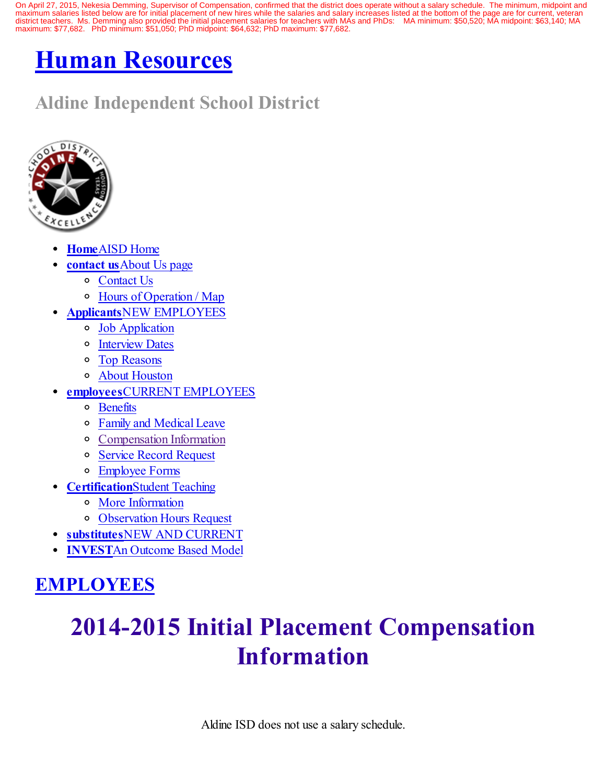On April 27, 2015, Nekesia Demming, Supervisor of Compensation, confirmed that the district does operate without a salary schedule. The minimum, midpoint and maximum salaries listed below are for initial placement of new hires while the salaries and salary increases listed at the bottom of the page are for current, veteran district teachers. Ms. Demming also provided the initial placement salaries for teachers with MAs and PhDs: MA minimum: \$50,520; MA midpoint: \$63,140; MA maximum: \$77,682. PhD minimum: \$51,050; PhD midpoint: \$64,632; PhD maximum: \$77,682.

# Human [Resources](http://www.aldine.k12.tx.us/human_resources/index.cfm)

# Aldine Independent School District



- [Home](http://www.aldine.k12.tx.us/human_resources/index.cfm)AISD Home
- contact usAbout Us page
	- [Contact](http://www.aldine.k12.tx.us/human_resources/contact_us.cfm) Us
	- Hours of [Operation](http://www.aldine.k12.tx.us/human_resources/hoursOp.cfm) / Map
	- ApplicantsNEW EMPLOYEES
		- Job [Application](http://www.aldine.k12.tx.us/human_resources/applicants.cfm)
		- o [Interview](http://www.aldine.k12.tx.us/human_resources/recruitment/index.cfm) Dates
		- Top [Reasons](http://www.aldine.k12.tx.us/human_resources/top25.cfm)
		- About [Houston](http://www.aldine.k12.tx.us/human_resources/aboutHouston.cfm)
- employeesCURRENT EMPLOYEES
	- [Benefits](http://www.aldine.k12.tx.us/human_resources/benefits.cfm)
	- Family and [Medical](http://www.aldine.k12.tx.us/human_resources/leave.cfm) Leave
	- [Compensation](http://www.aldine.k12.tx.us/human_resources/compensation.cfm) Information
	- Service Record [Request](http://www.aldine.k12.tx.us/human_resources/service_record.cfm)
	- [Employee](http://www.aldine.k12.tx.us/human_resources/employees.cfm) Forms
	- **[Certification](http://www.aldine.k12.tx.us/human_resources/certification.cfm)Student Teaching** 
		- More [Information](http://www.aldine.k12.tx.us/human_resources/certification.cfm)
		- [Observation](http://www.aldine.k12.tx.us/human_resources/observation_hours.cfm) Hours Request
- substitutesNEW AND [CURRENT](http://www.aldine.k12.tx.us/human_resources/substitute.cfm)
- [INVEST](http://www.aldine.k12.tx.us/cms/rise/main.cfm?siteID=133&PageID=1918)An Outcome Based Model

## [EMPLOYEES](http://www.aldine.k12.tx.us/human_resource/template.cfm)

# 2014-2015 Initial Placement Compensation Information

Aldine ISD does not use a salary schedule.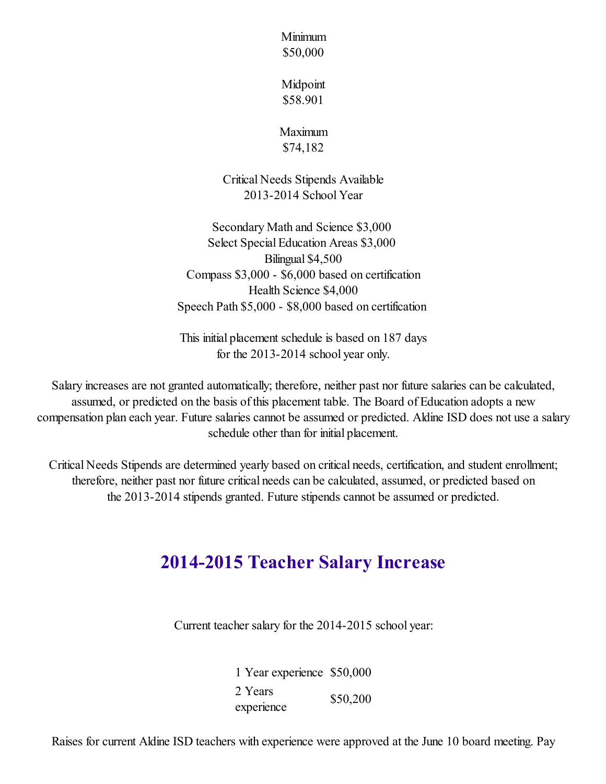Minimum \$50,000

Midpoint \$58.901

Maximum \$74,182

Critical Needs Stipends Available 2013-2014 School Year

Secondary Math and Science \$3,000 Select Special Education Areas \$3,000 Bilingual \$4,500 Compass \$3,000 - \$6,000 based on certification Health Science \$4,000 Speech Path \$5,000 - \$8,000 based on certification

This initial placement schedule is based on 187 days for the 2013-2014 school year only.

Salary increases are not granted automatically; therefore, neither past nor future salaries can be calculated, assumed, or predicted on the basis of this placement table. The Board of Education adopts a new compensation plan each year. Future salaries cannot be assumed or predicted. Aldine ISD does not use a salary schedule other than for initial placement.

Critical Needs Stipends are determined yearly based on critical needs, certification, and student enrollment; therefore, neither past nor future critical needs can be calculated, assumed, or predicted based on the 2013-2014 stipends granted. Future stipends cannot be assumed or predicted.

## 2014-2015 Teacher Salary Increase

Current teacher salary for the 2014-2015 school year:

1 Year experience \$50,000 2 Years experience \$50,200

Raises for current Aldine ISD teachers with experience were approved at the June 10 board meeting. Pay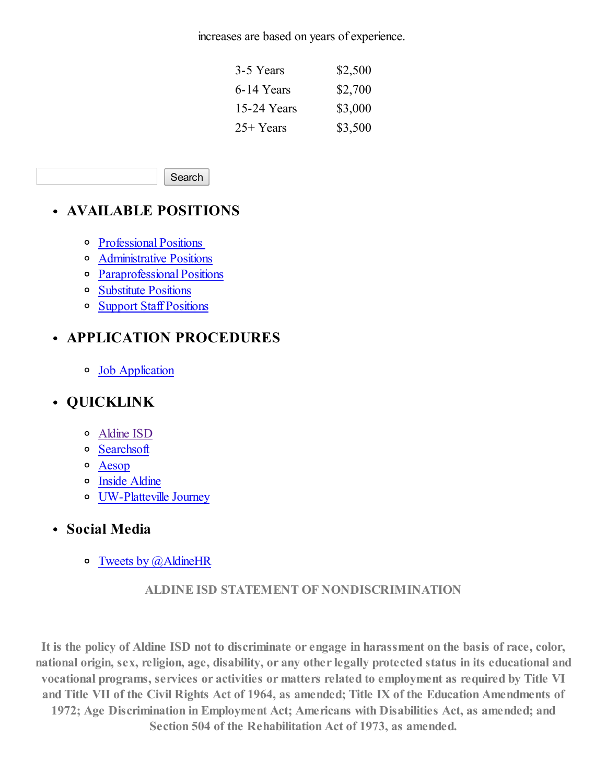increases are based on years of experience.

| 3-5 Years   | \$2,500 |
|-------------|---------|
| 6-14 Years  | \$2,700 |
| 15-24 Years | \$3,000 |
| 25+ Years   | \$3,500 |

Search

## AVAILABLE POSITIONS

- [Professional](http://www.aldine.k12.tx.us/sections/prospective_employees/available_positions/professional_vacancies.cfm) Positions
- [Administrative](http://www.aldine.k12.tx.us/human_resources/admin_position.cfm) Positions
- [Paraprofessional](http://www.aldine.k12.tx.us/sections/prospective_employees/available_positions/paraprofessional_vacancies.cfm) Positions
- [Substitute](http://www.aldine.k12.tx.us/sections/prospective_employees/available_positions/paraprofessional_vacancies.cfm) Positions
- Support Staff [Positions](http://www.aldine.k12.tx.us/sections/prospective_employees/available_positions/support_vacancies.cfm)

## APPLICATION PROCEDURES

Job [Application](http://www.aldine.k12.tx.us/human_resources/applicants.cfm)

## QUICKLINK

- [Aldine](http://www.aldine.k12.tx.us/) ISD
- [Searchsoft](https://searchsoft.aldine.k12.tx.us/ats/app_login.shtml?COMPANY_ID=00009033)
- [Aesop](https://www.aesoponline.com/login2.asp)
- o Inside [Aldine](http://insidealdine.com/)
- [UW-Platteville](http://www.aldine.k12.tx.us/human_resources/student_teachers.cfm) Journey
- Social Media
	- $\circ$  Tweets by  $(a)$  Aldine HR

### ALDINE ISD STATEMENT OF NONDISCRIMINATION

It is the policy of Aldine ISD not to discriminate or engage in harassment on the basis of race, color, national origin, sex, religion, age, disability, or any other legally protected status in its educational and vocational programs, services or activities or matters related to employment as required by Title VI and Title VII of the Civil Rights Act of 1964, as amended; Title IX of the Education Amendments of 1972; Age Discrimination in Employment Act; Americans with Disabilities Act, as amended; and Section 504 of the Rehabilitation Act of 1973, as amended.